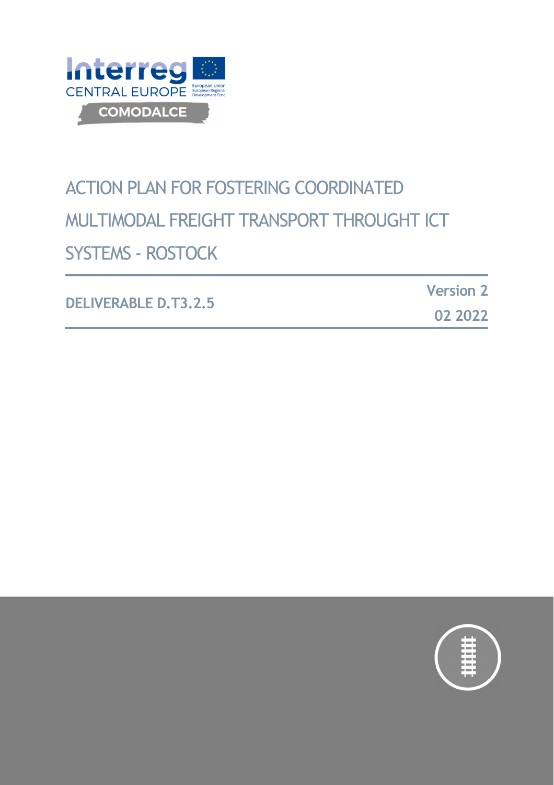

# ACTION PLAN FOR FOSTERING COORDINATED MULTIMODAL FREIGHT TRANSPORT THROUGHT ICT SYSTEMS - ROSTOCK

|                             | <b>Version 2</b> |
|-----------------------------|------------------|
| <b>DELIVERABLE D.T3.2.5</b> | 02 2022          |

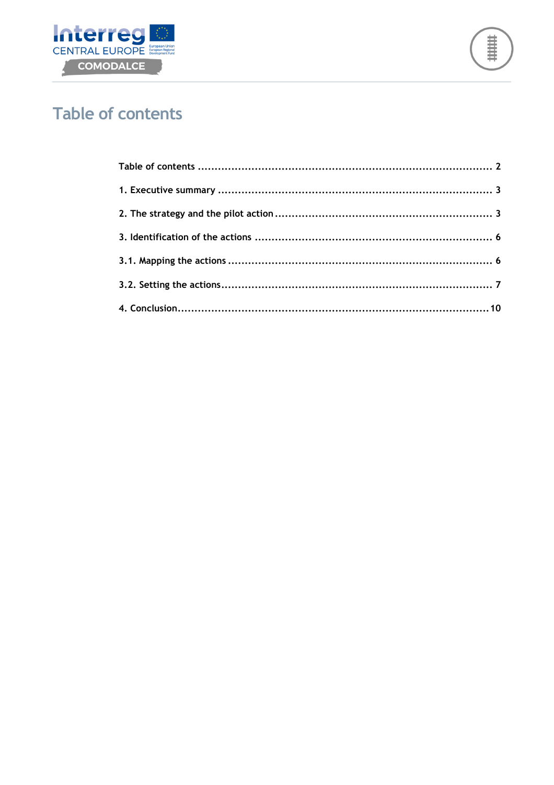



# **Table of contents**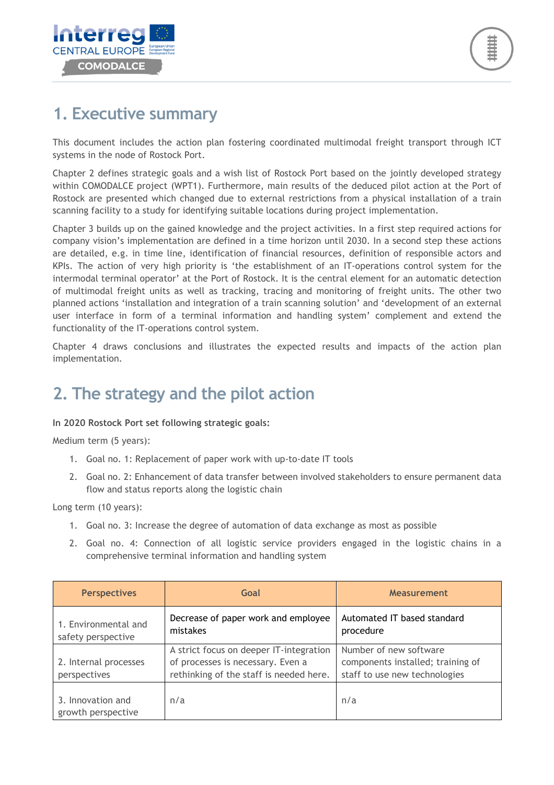

## **1. Executive summary**

This document includes the action plan fostering coordinated multimodal freight transport through ICT systems in the node of Rostock Port.

Chapter 2 defines strategic goals and a wish list of Rostock Port based on the jointly developed strategy within COMODALCE project (WPT1). Furthermore, main results of the deduced pilot action at the Port of Rostock are presented which changed due to external restrictions from a physical installation of a train scanning facility to a study for identifying suitable locations during project implementation.

Chapter 3 builds up on the gained knowledge and the project activities. In a first step required actions for company vision's implementation are defined in a time horizon until 2030. In a second step these actions are detailed, e.g. in time line, identification of financial resources, definition of responsible actors and KPIs. The action of very high priority is 'the establishment of an IT-operations control system for the intermodal terminal operator' at the Port of Rostock. It is the central element for an automatic detection of multimodal freight units as well as tracking, tracing and monitoring of freight units. The other two planned actions 'installation and integration of a train scanning solution' and 'development of an external user interface in form of a terminal information and handling system' complement and extend the functionality of the IT-operations control system.

Chapter 4 draws conclusions and illustrates the expected results and impacts of the action plan implementation.

# **2. The strategy and the pilot action**

#### **In 2020 Rostock Port set following strategic goals:**

Medium term (5 years):

- 1. Goal no. 1: Replacement of paper work with up-to-date IT tools
- 2. Goal no. 2: Enhancement of data transfer between involved stakeholders to ensure permanent data flow and status reports along the logistic chain

Long term (10 years):

- 1. Goal no. 3: Increase the degree of automation of data exchange as most as possible
- 2. Goal no. 4: Connection of all logistic service providers engaged in the logistic chains in a comprehensive terminal information and handling system

| <b>Perspectives</b>                        | Goal                                                                                                                    | <b>Measurement</b>                                                                           |
|--------------------------------------------|-------------------------------------------------------------------------------------------------------------------------|----------------------------------------------------------------------------------------------|
| 1. Environmental and<br>safety perspective | Decrease of paper work and employee<br>mistakes                                                                         | Automated IT based standard<br>procedure                                                     |
| 2. Internal processes<br>perspectives      | A strict focus on deeper IT-integration<br>of processes is necessary. Even a<br>rethinking of the staff is needed here. | Number of new software<br>components installed; training of<br>staff to use new technologies |
| 3. Innovation and<br>growth perspective    | n/a                                                                                                                     | n/a                                                                                          |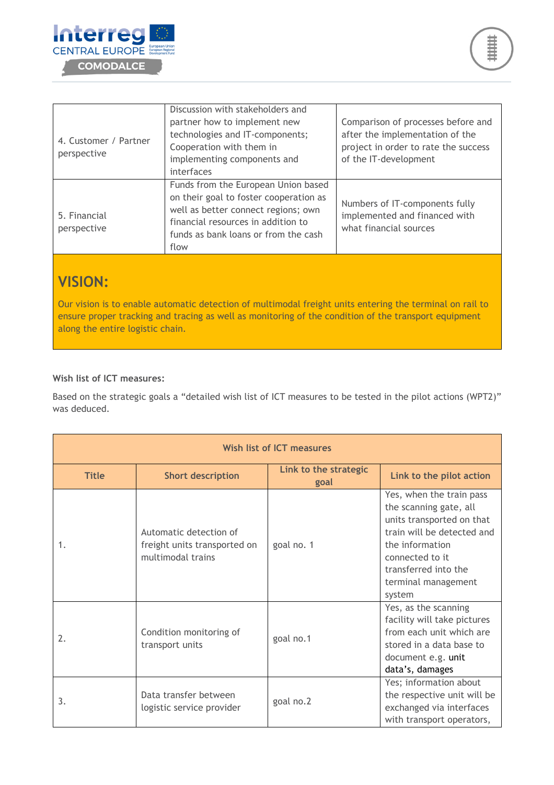

| 4. Customer / Partner<br>perspective | Discussion with stakeholders and<br>partner how to implement new<br>technologies and IT-components;<br>Cooperation with them in<br>implementing components and<br>interfaces                               | Comparison of processes before and<br>after the implementation of the<br>project in order to rate the success<br>of the IT-development |
|--------------------------------------|------------------------------------------------------------------------------------------------------------------------------------------------------------------------------------------------------------|----------------------------------------------------------------------------------------------------------------------------------------|
| 5. Financial<br>perspective          | Funds from the European Union based<br>on their goal to foster cooperation as<br>well as better connect regions; own<br>financial resources in addition to<br>funds as bank loans or from the cash<br>flow | Numbers of IT-components fully<br>implemented and financed with<br>what financial sources                                              |

### **VISION:**

Our vision is to enable automatic detection of multimodal freight units entering the terminal on rail to ensure proper tracking and tracing as well as monitoring of the condition of the transport equipment along the entire logistic chain.

#### **Wish list of ICT measures:**

Based on the strategic goals a "detailed wish list of ICT measures to be tested in the pilot actions (WPT2)" was deduced.

| Wish list of ICT measures |                                                                             |                               |                                                                                                                                                                                                              |
|---------------------------|-----------------------------------------------------------------------------|-------------------------------|--------------------------------------------------------------------------------------------------------------------------------------------------------------------------------------------------------------|
| <b>Title</b>              | <b>Short description</b>                                                    | Link to the strategic<br>goal | Link to the pilot action                                                                                                                                                                                     |
| 1.                        | Automatic detection of<br>freight units transported on<br>multimodal trains | goal no. 1                    | Yes, when the train pass<br>the scanning gate, all<br>units transported on that<br>train will be detected and<br>the information<br>connected to it<br>transferred into the<br>terminal management<br>system |
| 2.                        | Condition monitoring of<br>transport units                                  | goal no.1                     | Yes, as the scanning<br>facility will take pictures<br>from each unit which are<br>stored in a data base to<br>document e.g. unit<br>data's, damages                                                         |
| 3.                        | Data transfer between<br>logistic service provider                          | goal no.2                     | Yes; information about<br>the respective unit will be<br>exchanged via interfaces<br>with transport operators,                                                                                               |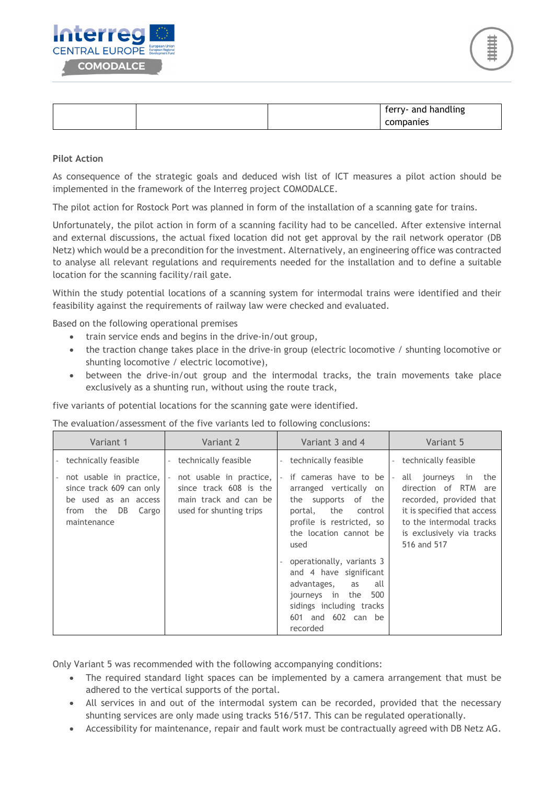

|  | handling<br>ferry- and<br>- |
|--|-----------------------------|
|  | companies                   |

#### **Pilot Action**

As consequence of the strategic goals and deduced wish list of ICT measures a pilot action should be implemented in the framework of the Interreg project COMODALCE.

The pilot action for Rostock Port was planned in form of the installation of a scanning gate for trains.

Unfortunately, the pilot action in form of a scanning facility had to be cancelled. After extensive internal and external discussions, the actual fixed location did not get approval by the rail network operator (DB Netz) which would be a precondition for the investment. Alternatively, an engineering office was contracted to analyse all relevant regulations and requirements needed for the installation and to define a suitable location for the scanning facility/rail gate.

Within the study potential locations of a scanning system for intermodal trains were identified and their feasibility against the requirements of railway law were checked and evaluated.

Based on the following operational premises

- train service ends and begins in the drive-in/out group,
- the traction change takes place in the drive-in group (electric locomotive / shunting locomotive or shunting locomotive / electric locomotive),
- between the drive-in/out group and the intermodal tracks, the train movements take place exclusively as a shunting run, without using the route track,

five variants of potential locations for the scanning gate were identified.

The evaluation/assessment of the five variants led to following conclusions:

| Variant 1                                                                                                          | Variant 2                                                                                             | Variant 3 and 4                                                                                                                                                                                                                                                                                                                         | Variant 5                                                                                                                                                                        |
|--------------------------------------------------------------------------------------------------------------------|-------------------------------------------------------------------------------------------------------|-----------------------------------------------------------------------------------------------------------------------------------------------------------------------------------------------------------------------------------------------------------------------------------------------------------------------------------------|----------------------------------------------------------------------------------------------------------------------------------------------------------------------------------|
| technically feasible                                                                                               | technically feasible<br>$\overline{\phantom{a}}$                                                      | technically feasible<br>$\sim$                                                                                                                                                                                                                                                                                                          | - technically feasible                                                                                                                                                           |
| not usable in practice,<br>since track 609 can only<br>be used as an access<br>from the DB<br>Cargo<br>maintenance | not usable in practice,<br>since track 608 is the<br>main track and can be<br>used for shunting trips | if cameras have to be<br>arranged vertically on<br>the supports of the<br>portal, the control<br>profile is restricted, so<br>the location cannot be<br>used<br>operationally, variants 3<br>and 4 have significant<br>advantages,<br>all<br>as<br>500<br>journeys in the<br>sidings including tracks<br>601 and 602 can be<br>recorded | all journeys<br>in the<br>direction of RTM are<br>recorded, provided that<br>it is specified that access<br>to the intermodal tracks<br>is exclusively via tracks<br>516 and 517 |

Only Variant 5 was recommended with the following accompanying conditions:

- The required standard light spaces can be implemented by a camera arrangement that must be adhered to the vertical supports of the portal.
- All services in and out of the intermodal system can be recorded, provided that the necessary shunting services are only made using tracks 516/517. This can be regulated operationally.
- Accessibility for maintenance, repair and fault work must be contractually agreed with DB Netz AG.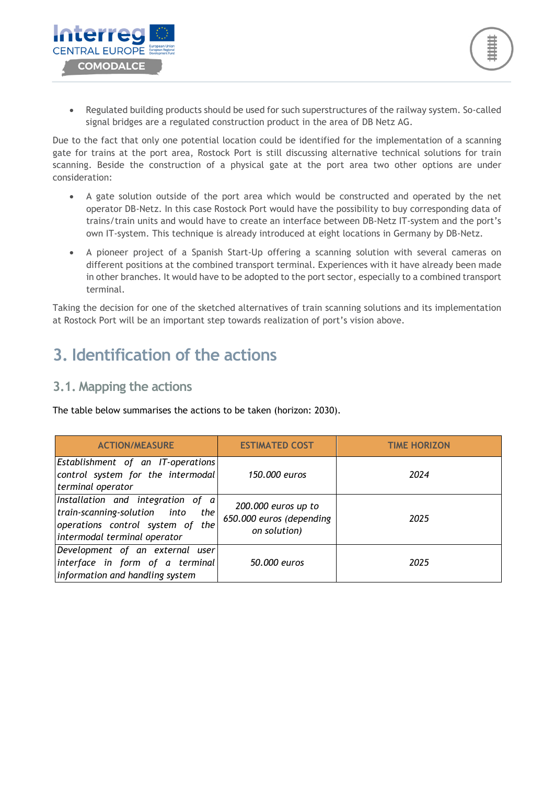

Due to the fact that only one potential location could be identified for the implementation of a scanning gate for trains at the port area, Rostock Port is still discussing alternative technical solutions for train scanning. Beside the construction of a physical gate at the port area two other options are under consideration:

- A gate solution outside of the port area which would be constructed and operated by the net operator DB-Netz. In this case Rostock Port would have the possibility to buy corresponding data of trains/train units and would have to create an interface between DB-Netz IT-system and the port's own IT-system. This technique is already introduced at eight locations in Germany by DB-Netz.
- A pioneer project of a Spanish Start-Up offering a scanning solution with several cameras on different positions at the combined transport terminal. Experiences with it have already been made in other branches. It would have to be adopted to the port sector, especially to a combined transport terminal.

Taking the decision for one of the sketched alternatives of train scanning solutions and its implementation at Rostock Port will be an important step towards realization of port's vision above.

### **3. Identification of the actions**

#### **3.1. Mapping the actions**

terre CENTRAL FUROPE

**COMODALCE** 

The table below summarises the actions to be taken (horizon: 2030).

| <b>ACTION/MEASURE</b>                                                                                                                          | <b>ESTIMATED COST</b>                                           | <b>TIME HORIZON</b> |
|------------------------------------------------------------------------------------------------------------------------------------------------|-----------------------------------------------------------------|---------------------|
| Establishment of an IT-operations<br>control system for the intermodal<br>terminal operator                                                    | 150,000 euros                                                   | 2024                |
| Installation and integration of a<br>train-scanning-solution into<br>the I<br>operations control system of the<br>intermodal terminal operator | 200.000 euros up to<br>650.000 euros (depending<br>on solution) | 2025                |
| Development of an external user<br>interface in form of a terminal<br>information and handling system                                          | 50,000 euros                                                    | 2025                |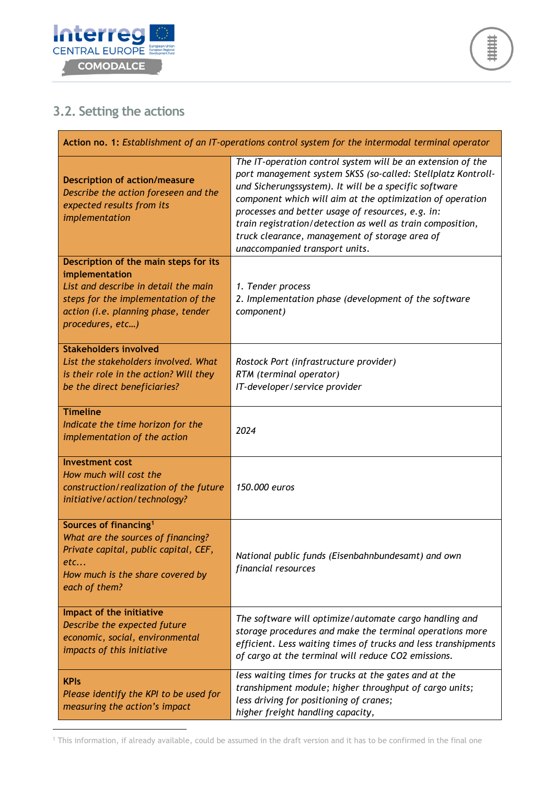

### **3.2. Setting the actions**

 $\overline{a}$ 

| Action no. 1: Establishment of an IT-operations control system for the intermodal terminal operator                                                                                               |                                                                                                                                                                                                                                                                                                                                                                                                                                                          |
|---------------------------------------------------------------------------------------------------------------------------------------------------------------------------------------------------|----------------------------------------------------------------------------------------------------------------------------------------------------------------------------------------------------------------------------------------------------------------------------------------------------------------------------------------------------------------------------------------------------------------------------------------------------------|
| <b>Description of action/measure</b><br>Describe the action foreseen and the<br>expected results from its<br>implementation                                                                       | The IT-operation control system will be an extension of the<br>port management system SKSS (so-called: Stellplatz Kontroll-<br>und Sicherungssystem). It will be a specific software<br>component which will aim at the optimization of operation<br>processes and better usage of resources, e.g. in:<br>train registration/detection as well as train composition,<br>truck clearance, management of storage area of<br>unaccompanied transport units. |
| Description of the main steps for its<br>implementation<br>List and describe in detail the main<br>steps for the implementation of the<br>action (i.e. planning phase, tender<br>procedures, etc) | 1. Tender process<br>2. Implementation phase (development of the software<br>component)                                                                                                                                                                                                                                                                                                                                                                  |
| <b>Stakeholders involved</b><br>List the stakeholders involved. What<br>is their role in the action? Will they<br>be the direct beneficiaries?                                                    | Rostock Port (infrastructure provider)<br>RTM (terminal operator)<br>IT-developer/service provider                                                                                                                                                                                                                                                                                                                                                       |
| <b>Timeline</b><br>Indicate the time horizon for the<br>implementation of the action                                                                                                              | 2024                                                                                                                                                                                                                                                                                                                                                                                                                                                     |
| <b>Investment cost</b><br>How much will cost the<br>construction/realization of the future<br>initiative/action/technology?                                                                       | 150.000 euros                                                                                                                                                                                                                                                                                                                                                                                                                                            |
| Sources of financing <sup>1</sup><br>What are the sources of financing?<br>Private capital, public capital, CEF,<br>etc…<br>How much is the share covered by<br>each of them?                     | National public funds (Eisenbahnbundesamt) and own<br>financial resources                                                                                                                                                                                                                                                                                                                                                                                |
| Impact of the initiative<br>Describe the expected future<br>economic, social, environmental<br>impacts of this initiative                                                                         | The software will optimize/automate cargo handling and<br>storage procedures and make the terminal operations more<br>efficient. Less waiting times of trucks and less transhipments<br>of cargo at the terminal will reduce CO2 emissions.                                                                                                                                                                                                              |
| <b>KPIs</b><br>Please identify the KPI to be used for<br>measuring the action's impact                                                                                                            | less waiting times for trucks at the gates and at the<br>transhipment module; higher throughput of cargo units;<br>less driving for positioning of cranes;<br>higher freight handling capacity,                                                                                                                                                                                                                                                          |

1 This information, if already available, could be assumed in the draft version and it has to be confirmed in the final one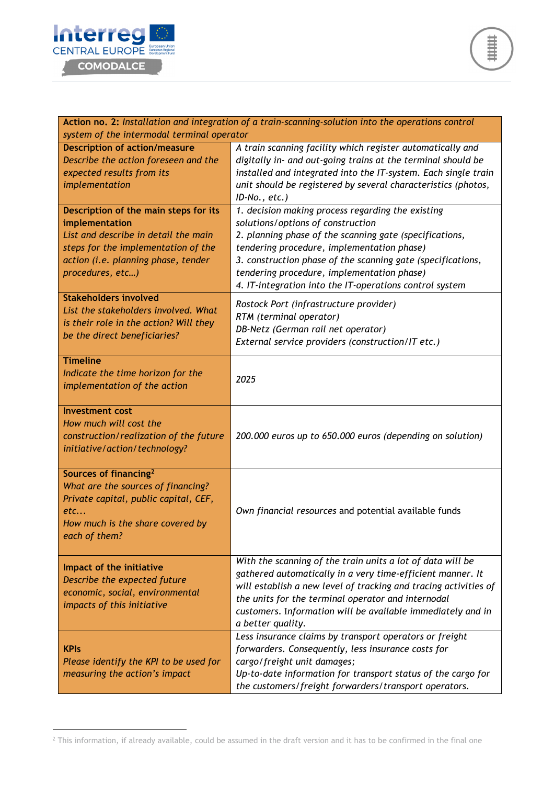

 $\overline{a}$ 

| Action no. 2: Installation and integration of a train-scanning-solution into the operations control<br>system of the intermodal terminal operator                                                 |                                                                                                                                                                                                                                                                                                                                                                                            |  |
|---------------------------------------------------------------------------------------------------------------------------------------------------------------------------------------------------|--------------------------------------------------------------------------------------------------------------------------------------------------------------------------------------------------------------------------------------------------------------------------------------------------------------------------------------------------------------------------------------------|--|
| <b>Description of action/measure</b>                                                                                                                                                              | A train scanning facility which register automatically and                                                                                                                                                                                                                                                                                                                                 |  |
| Describe the action foreseen and the<br>expected results from its<br>implementation                                                                                                               | digitally in- and out-going trains at the terminal should be<br>installed and integrated into the IT-system. Each single train<br>unit should be registered by several characteristics (photos,                                                                                                                                                                                            |  |
| Description of the main steps for its<br>implementation<br>List and describe in detail the main<br>steps for the implementation of the<br>action (i.e. planning phase, tender<br>procedures, etc) | $ID-No., etc.)$<br>1. decision making process regarding the existing<br>solutions/options of construction<br>2. planning phase of the scanning gate (specifications,<br>tendering procedure, implementation phase)<br>3. construction phase of the scanning gate (specifications,<br>tendering procedure, implementation phase)<br>4. IT-integration into the IT-operations control system |  |
| <b>Stakeholders involved</b><br>List the stakeholders involved. What<br>is their role in the action? Will they<br>be the direct beneficiaries?                                                    | Rostock Port (infrastructure provider)<br>RTM (terminal operator)<br>DB-Netz (German rail net operator)<br>External service providers (construction/IT etc.)                                                                                                                                                                                                                               |  |
| <b>Timeline</b><br>Indicate the time horizon for the<br>implementation of the action                                                                                                              | 2025                                                                                                                                                                                                                                                                                                                                                                                       |  |
| <b>Investment cost</b><br>How much will cost the<br>construction/realization of the future<br>initiative/action/technology?                                                                       | 200.000 euros up to 650.000 euros (depending on solution)                                                                                                                                                                                                                                                                                                                                  |  |
| Sources of financing <sup>2</sup><br>What are the sources of financing?<br>Private capital, public capital, CEF,<br>etc<br>How much is the share covered by<br>each of them?                      | Own financial resources and potential available funds                                                                                                                                                                                                                                                                                                                                      |  |
| Impact of the initiative<br>Describe the expected future<br>economic, social, environmental<br>impacts of this initiative                                                                         | With the scanning of the train units a lot of data will be<br>gathered automatically in a very time-efficient manner. It<br>will establish a new level of tracking and tracing activities of<br>the units for the terminal operator and internodal<br>customers. Information will be available immediately and in<br>a better quality.                                                     |  |
| <b>KPIs</b><br>Please identify the KPI to be used for<br>measuring the action's impact                                                                                                            | Less insurance claims by transport operators or freight<br>forwarders. Consequently, less insurance costs for<br>cargo/freight unit damages;<br>Up-to-date information for transport status of the cargo for<br>the customers/freight forwarders/transport operators.                                                                                                                      |  |

 $^2$  This information, if already available, could be assumed in the draft version and it has to be confirmed in the final one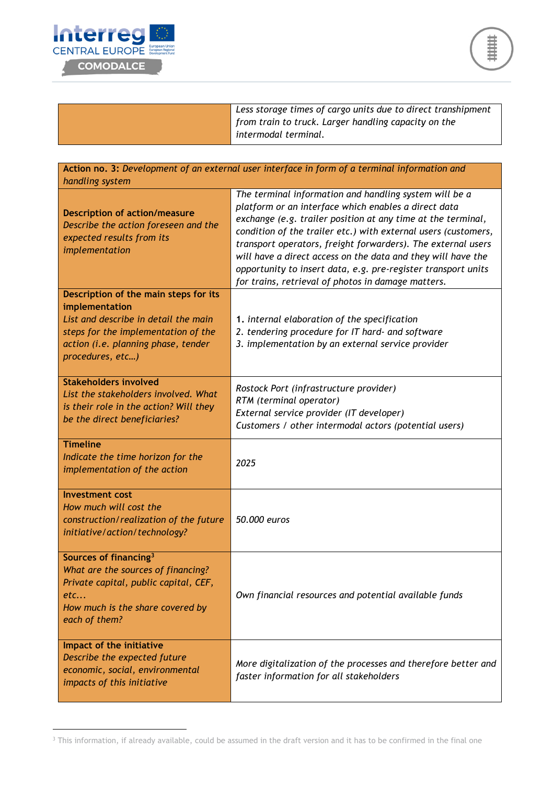

 $\overline{a}$ 



*Less storage times of cargo units due to direct transhipment from train to truck. Larger handling capacity on the intermodal terminal.*

| Action no. 3: Development of an external user interface in form of a terminal information and<br>handling system                                                                                  |                                                                                                                                                                                                                                                                                                                                                                                                                                                                                                         |  |
|---------------------------------------------------------------------------------------------------------------------------------------------------------------------------------------------------|---------------------------------------------------------------------------------------------------------------------------------------------------------------------------------------------------------------------------------------------------------------------------------------------------------------------------------------------------------------------------------------------------------------------------------------------------------------------------------------------------------|--|
| <b>Description of action/measure</b><br>Describe the action foreseen and the<br>expected results from its<br>implementation                                                                       | The terminal information and handling system will be a<br>platform or an interface which enables a direct data<br>exchange (e.g. trailer position at any time at the terminal,<br>condition of the trailer etc.) with external users (customers,<br>transport operators, freight forwarders). The external users<br>will have a direct access on the data and they will have the<br>opportunity to insert data, e.g. pre-register transport units<br>for trains, retrieval of photos in damage matters. |  |
| Description of the main steps for its<br>implementation<br>List and describe in detail the main<br>steps for the implementation of the<br>action (i.e. planning phase, tender<br>procedures, etc) | 1. internal elaboration of the specification<br>2. tendering procedure for IT hard- and software<br>3. implementation by an external service provider                                                                                                                                                                                                                                                                                                                                                   |  |
| <b>Stakeholders involved</b><br>List the stakeholders involved. What<br>is their role in the action? Will they<br>be the direct beneficiaries?                                                    | Rostock Port (infrastructure provider)<br>RTM (terminal operator)<br>External service provider (IT developer)<br>Customers / other intermodal actors (potential users)                                                                                                                                                                                                                                                                                                                                  |  |
| <b>Timeline</b><br>Indicate the time horizon for the<br>implementation of the action                                                                                                              | 2025                                                                                                                                                                                                                                                                                                                                                                                                                                                                                                    |  |
| <b>Investment cost</b><br>How much will cost the<br>construction/realization of the future<br>initiative/action/technology?                                                                       | 50.000 euros                                                                                                                                                                                                                                                                                                                                                                                                                                                                                            |  |
| Sources of financing <sup>3</sup><br>What are the sources of financing?<br>Private capital, public capital, CEF,<br>etc<br>How much is the share covered by<br>each of them?                      | Own financial resources and potential available funds                                                                                                                                                                                                                                                                                                                                                                                                                                                   |  |
| Impact of the initiative<br>Describe the expected future<br>economic, social, environmental<br>impacts of this initiative                                                                         | More digitalization of the processes and therefore better and<br>faster information for all stakeholders                                                                                                                                                                                                                                                                                                                                                                                                |  |

 $3$  This information, if already available, could be assumed in the draft version and it has to be confirmed in the final one